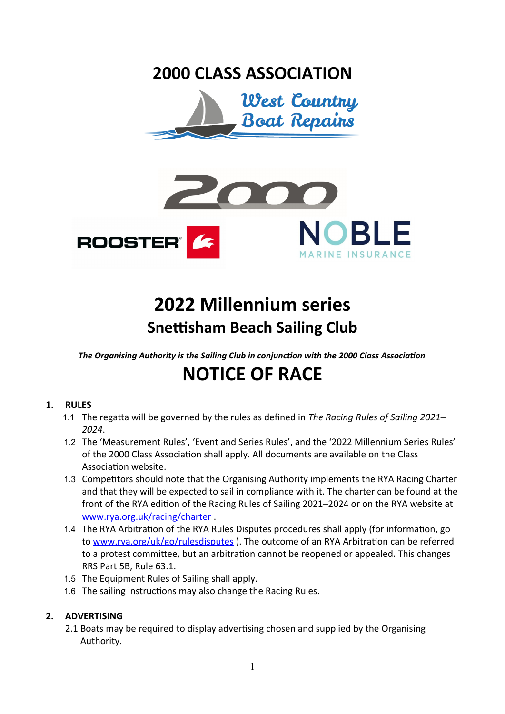### **2000 CLASS ASSOCIATION**





## **2022 Millennium series Snettisham Beach Sailing Club**

*The Organising Authority is the Sailing Club in conjunction with the 2000 Class Association*

# **NOTICE OF RACE**

#### **1. RULES**

- 1.1 The regatta will be governed by the rules as defined in *The Racing Rules of Sailing 2021– 2024*.
- 1.2 The 'Measurement Rules', 'Event and Series Rules', and the '2022 Millennium Series Rules' of the 2000 Class Association shall apply. All documents are available on the Class Association website.
- 1.3 Competitors should note that the Organising Authority implements the RYA Racing Charter and that they will be expected to sail in compliance with it. The charter can be found at the front of the RYA edition of the Racing Rules of Sailing 2021–2024 or on the RYA website at [www.rya.org.uk/racing/charter](about:blank) .
- 1.4 The RYA Arbitration of the RYA Rules Disputes procedures shall apply (for information, go to [www.rya.org/uk/go/rulesdisputes](about:blank) ). The outcome of an RYA Arbitration can be referred to a protest committee, but an arbitration cannot be reopened or appealed. This changes RRS Part 5B, Rule 63.1.
- 1.5 The Equipment Rules of Sailing shall apply.
- 1.6 The sailing instructions may also change the Racing Rules.

#### **2. ADVERTISING**

2.1 Boats may be required to display advertising chosen and supplied by the Organising Authority.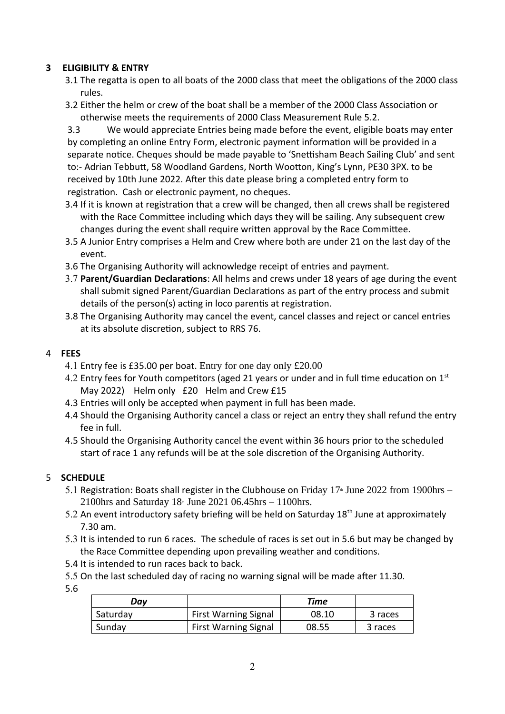#### **3 ELIGIBILITY & ENTRY**

- 3.1 The regatta is open to all boats of the 2000 class that meet the obligations of the 2000 class rules.
- 3.2 Either the helm or crew of the boat shall be a member of the 2000 Class Association or otherwise meets the requirements of 2000 Class Measurement Rule 5.2.

3.3 We would appreciate Entries being made before the event, eligible boats may enter by completing an online Entry Form, electronic payment information will be provided in a separate notice. Cheques should be made payable to 'Snettisham Beach Sailing Club' and sent to:- Adrian Tebbutt, 58 Woodland Gardens, North Wootton, King's Lynn, PE30 3PX. to be received by 10th June 2022. After this date please bring a completed entry form to registration. Cash or electronic payment, no cheques.

- 3.4 If it is known at registration that a crew will be changed, then all crews shall be registered with the Race Committee including which days they will be sailing. Any subsequent crew changes during the event shall require written approval by the Race Committee.
- 3.5 A Junior Entry comprises a Helm and Crew where both are under 21 on the last day of the event.
- 3.6 The Organising Authority will acknowledge receipt of entries and payment.
- 3.7 **Parent/Guardian Declarations**: All helms and crews under 18 years of age during the event shall submit signed Parent/Guardian Declarations as part of the entry process and submit details of the person(s) acting in loco parentis at registration.
- 3.8 The Organising Authority may cancel the event, cancel classes and reject or cancel entries at its absolute discretion, subject to RRS 76.

#### 4 **FEES**

- 4.1 Entry fee is £35.00 per boat. Entry for one day only £20.00
- 4.2 Entry fees for Youth competitors (aged 21 years or under and in full time education on  $1<sup>st</sup>$ May 2022) Helm only £20 Helm and Crew £15
- 4.3 Entries will only be accepted when payment in full has been made.
- 4.4 Should the Organising Authority cancel a class or reject an entry they shall refund the entry fee in full.
- 4.5 Should the Organising Authority cancel the event within 36 hours prior to the scheduled start of race 1 any refunds will be at the sole discretion of the Organising Authority.

#### 5 **SCHEDULE**

- 5.1 Registration: Boats shall register in the Clubhouse on Friday  $17<sup>*</sup>$  June 2022 from 1900hrs 2100hrs and Saturday  $18^{\text{th}}$  June 2021 06.45hrs – 1100hrs.
- 5.2 An event introductory safety briefing will be held on Saturday 18<sup>th</sup> June at approximately 7.30 am.
- 5.3 It is intended to run 6 races. The schedule of races is set out in 5.6 but may be changed by the Race Committee depending upon prevailing weather and conditions.
- 5.4 It is intended to run races back to back.
- 5.5 On the last scheduled day of racing no warning signal will be made after 11.30.
- 5.6

| Dav      |                             | Time  |         |
|----------|-----------------------------|-------|---------|
| Saturday | <b>First Warning Signal</b> | 08.10 | 3 races |
| Sunday   | <b>First Warning Signal</b> | 08.55 | 3 races |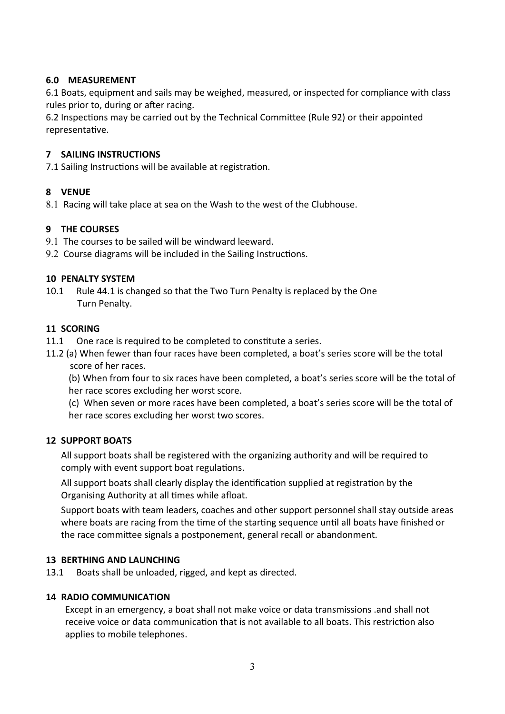#### **6.0 MEASUREMENT**

6.1 Boats, equipment and sails may be weighed, measured, or inspected for compliance with class rules prior to, during or after racing.

6.2 Inspections may be carried out by the Technical Committee (Rule 92) or their appointed representative.

#### **7 SAILING INSTRUCTIONS**

7.1 Sailing Instructions will be available at registration.

#### **8 VENUE**

8.1 Racing will take place at sea on the Wash to the west of the Clubhouse.

#### **9 THE COURSES**

- 9.1 The courses to be sailed will be windward leeward.
- 9.2 Course diagrams will be included in the Sailing Instructions.

#### **10 PENALTY SYSTEM**

10.1 Rule 44.1 is changed so that the Two Turn Penalty is replaced by the One Turn Penalty.

#### **11 SCORING**

- 11.1 One race is required to be completed to constitute a series.
- 11.2 (a) When fewer than four races have been completed, a boat's series score will be the total score of her races.

(b) When from four to six races have been completed, a boat's series score will be the total of her race scores excluding her worst score.

(c) When seven or more races have been completed, a boat's series score will be the total of her race scores excluding her worst two scores.

#### **12 SUPPORT BOATS**

All support boats shall be registered with the organizing authority and will be required to comply with event support boat regulations.

All support boats shall clearly display the identification supplied at registration by the Organising Authority at all times while afloat.

Support boats with team leaders, coaches and other support personnel shall stay outside areas where boats are racing from the time of the starting sequence until all boats have finished or the race committee signals a postponement, general recall or abandonment.

#### **13 BERTHING AND LAUNCHING**

13.1 Boats shall be unloaded, rigged, and kept as directed.

#### **14 RADIO COMMUNICATION**

Except in an emergency, a boat shall not make voice or data transmissions .and shall not receive voice or data communication that is not available to all boats. This restriction also applies to mobile telephones.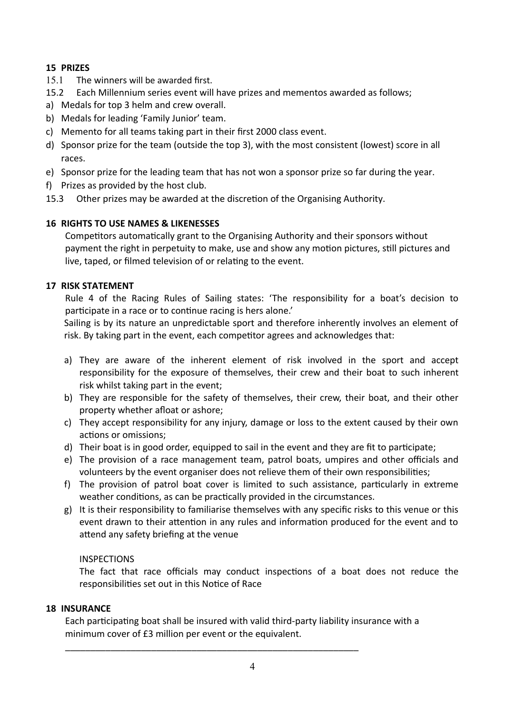#### **15 PRIZES**

- 15.1 The winners will be awarded first.
- 15.2 Each Millennium series event will have prizes and mementos awarded as follows;
- a) Medals for top 3 helm and crew overall.
- b) Medals for leading 'Family Junior' team.
- c) Memento for all teams taking part in their first 2000 class event.
- d) Sponsor prize for the team (outside the top 3), with the most consistent (lowest) score in all races.
- e) Sponsor prize for the leading team that has not won a sponsor prize so far during the year.
- f) Prizes as provided by the host club.
- 15.3 Other prizes may be awarded at the discretion of the Organising Authority.

#### **16 RIGHTS TO USE NAMES & LIKENESSES**

Competitors automatically grant to the Organising Authority and their sponsors without payment the right in perpetuity to make, use and show any motion pictures, still pictures and live, taped, or filmed television of or relating to the event.

#### **17 RISK STATEMENT**

Rule 4 of the Racing Rules of Sailing states: 'The responsibility for a boat's decision to participate in a race or to continue racing is hers alone.'

Sailing is by its nature an unpredictable sport and therefore inherently involves an element of risk. By taking part in the event, each competitor agrees and acknowledges that:

- a) They are aware of the inherent element of risk involved in the sport and accept responsibility for the exposure of themselves, their crew and their boat to such inherent risk whilst taking part in the event;
- b) They are responsible for the safety of themselves, their crew, their boat, and their other property whether afloat or ashore;
- c) They accept responsibility for any injury, damage or loss to the extent caused by their own actions or omissions;
- d) Their boat is in good order, equipped to sail in the event and they are fit to participate;
- e) The provision of a race management team, patrol boats, umpires and other officials and volunteers by the event organiser does not relieve them of their own responsibilities;
- f) The provision of patrol boat cover is limited to such assistance, particularly in extreme weather conditions, as can be practically provided in the circumstances.
- g) It is their responsibility to familiarise themselves with any specific risks to this venue or this event drawn to their attention in any rules and information produced for the event and to attend any safety briefing at the venue

#### INSPECTIONS

The fact that race officials may conduct inspections of a boat does not reduce the responsibilities set out in this Notice of Race

#### **18 INSURANCE**

Each participating boat shall be insured with valid third-party liability insurance with a minimum cover of £3 million per event or the equivalent.

\_\_\_\_\_\_\_\_\_\_\_\_\_\_\_\_\_\_\_\_\_\_\_\_\_\_\_\_\_\_\_\_\_\_\_\_\_\_\_\_\_\_\_\_\_\_\_\_\_\_\_\_\_\_\_\_\_\_